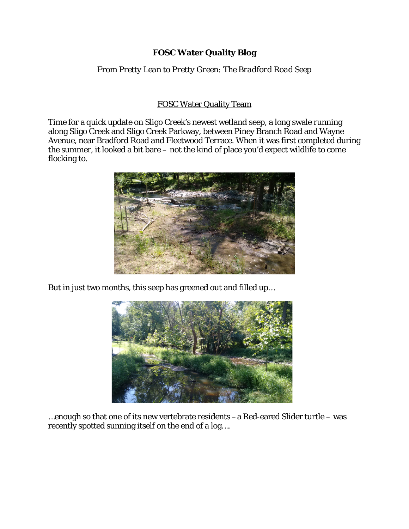## **FOSC Water Quality Blog**

*From Pretty Lean to Pretty Green: The Bradford Road Seep*

## FOSC Water Quality Team

Time for a quick update on Sligo Creek's newest wetland seep, a long swale running along Sligo Creek and Sligo Creek Parkway, between Piney Branch Road and Wayne Avenue, near Bradford Road and Fleetwood Terrace. When it was first completed during the summer, it looked a bit bare – not the kind of place you'd expect wildlife to come flocking to.



But in just two months, this seep has greened out and filled up…



…enough so that one of its new vertebrate residents –a Red-eared Slider turtle – was recently spotted sunning itself on the end of a log….